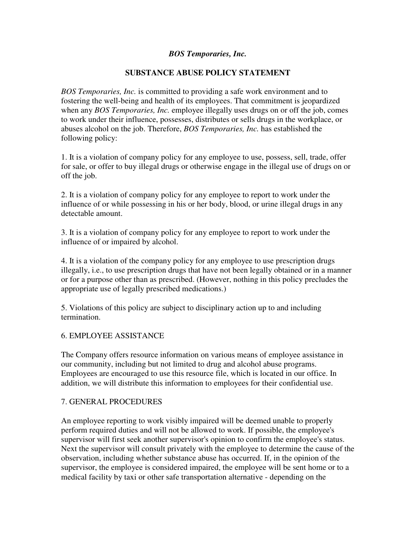## *BOS Temporaries, Inc.*

## **SUBSTANCE ABUSE POLICY STATEMENT**

*BOS Temporaries, Inc.* is committed to providing a safe work environment and to fostering the well-being and health of its employees. That commitment is jeopardized when any *BOS Temporaries, Inc.* employee illegally uses drugs on or off the job, comes to work under their influence, possesses, distributes or sells drugs in the workplace, or abuses alcohol on the job. Therefore, *BOS Temporaries, Inc.* has established the following policy:

1. It is a violation of company policy for any employee to use, possess, sell, trade, offer for sale, or offer to buy illegal drugs or otherwise engage in the illegal use of drugs on or off the job.

2. It is a violation of company policy for any employee to report to work under the influence of or while possessing in his or her body, blood, or urine illegal drugs in any detectable amount.

3. It is a violation of company policy for any employee to report to work under the influence of or impaired by alcohol.

4. It is a violation of the company policy for any employee to use prescription drugs illegally, i.e., to use prescription drugs that have not been legally obtained or in a manner or for a purpose other than as prescribed. (However, nothing in this policy precludes the appropriate use of legally prescribed medications.)

5. Violations of this policy are subject to disciplinary action up to and including termination.

### 6. EMPLOYEE ASSISTANCE

The Company offers resource information on various means of employee assistance in our community, including but not limited to drug and alcohol abuse programs. Employees are encouraged to use this resource file, which is located in our office. In addition, we will distribute this information to employees for their confidential use.

### 7. GENERAL PROCEDURES

An employee reporting to work visibly impaired will be deemed unable to properly perform required duties and will not be allowed to work. If possible, the employee's supervisor will first seek another supervisor's opinion to confirm the employee's status. Next the supervisor will consult privately with the employee to determine the cause of the observation, including whether substance abuse has occurred. If, in the opinion of the supervisor, the employee is considered impaired, the employee will be sent home or to a medical facility by taxi or other safe transportation alternative - depending on the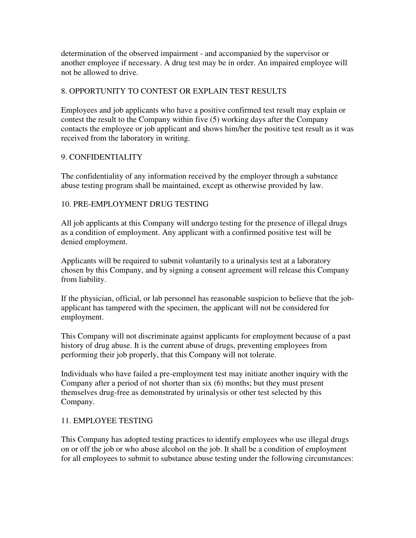determination of the observed impairment - and accompanied by the supervisor or another employee if necessary. A drug test may be in order. An impaired employee will not be allowed to drive.

# 8. OPPORTUNITY TO CONTEST OR EXPLAIN TEST RESULTS

Employees and job applicants who have a positive confirmed test result may explain or contest the result to the Company within five (5) working days after the Company contacts the employee or job applicant and shows him/her the positive test result as it was received from the laboratory in writing.

# 9. CONFIDENTIALITY

The confidentiality of any information received by the employer through a substance abuse testing program shall be maintained, except as otherwise provided by law.

# 10. PRE-EMPLOYMENT DRUG TESTING

All job applicants at this Company will undergo testing for the presence of illegal drugs as a condition of employment. Any applicant with a confirmed positive test will be denied employment.

Applicants will be required to submit voluntarily to a urinalysis test at a laboratory chosen by this Company, and by signing a consent agreement will release this Company from liability.

If the physician, official, or lab personnel has reasonable suspicion to believe that the jobapplicant has tampered with the specimen, the applicant will not be considered for employment.

This Company will not discriminate against applicants for employment because of a past history of drug abuse. It is the current abuse of drugs, preventing employees from performing their job properly, that this Company will not tolerate.

Individuals who have failed a pre-employment test may initiate another inquiry with the Company after a period of not shorter than six (6) months; but they must present themselves drug-free as demonstrated by urinalysis or other test selected by this Company.

# 11. EMPLOYEE TESTING

This Company has adopted testing practices to identify employees who use illegal drugs on or off the job or who abuse alcohol on the job. It shall be a condition of employment for all employees to submit to substance abuse testing under the following circumstances: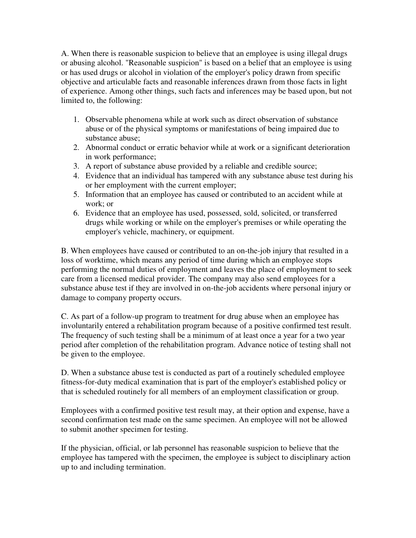A. When there is reasonable suspicion to believe that an employee is using illegal drugs or abusing alcohol. "Reasonable suspicion" is based on a belief that an employee is using or has used drugs or alcohol in violation of the employer's policy drawn from specific objective and articulable facts and reasonable inferences drawn from those facts in light of experience. Among other things, such facts and inferences may be based upon, but not limited to, the following:

- 1. Observable phenomena while at work such as direct observation of substance abuse or of the physical symptoms or manifestations of being impaired due to substance abuse;
- 2. Abnormal conduct or erratic behavior while at work or a significant deterioration in work performance;
- 3. A report of substance abuse provided by a reliable and credible source;
- 4. Evidence that an individual has tampered with any substance abuse test during his or her employment with the current employer;
- 5. Information that an employee has caused or contributed to an accident while at work; or
- 6. Evidence that an employee has used, possessed, sold, solicited, or transferred drugs while working or while on the employer's premises or while operating the employer's vehicle, machinery, or equipment.

B. When employees have caused or contributed to an on-the-job injury that resulted in a loss of worktime, which means any period of time during which an employee stops performing the normal duties of employment and leaves the place of employment to seek care from a licensed medical provider. The company may also send employees for a substance abuse test if they are involved in on-the-job accidents where personal injury or damage to company property occurs.

C. As part of a follow-up program to treatment for drug abuse when an employee has involuntarily entered a rehabilitation program because of a positive confirmed test result. The frequency of such testing shall be a minimum of at least once a year for a two year period after completion of the rehabilitation program. Advance notice of testing shall not be given to the employee.

D. When a substance abuse test is conducted as part of a routinely scheduled employee fitness-for-duty medical examination that is part of the employer's established policy or that is scheduled routinely for all members of an employment classification or group.

Employees with a confirmed positive test result may, at their option and expense, have a second confirmation test made on the same specimen. An employee will not be allowed to submit another specimen for testing.

If the physician, official, or lab personnel has reasonable suspicion to believe that the employee has tampered with the specimen, the employee is subject to disciplinary action up to and including termination.